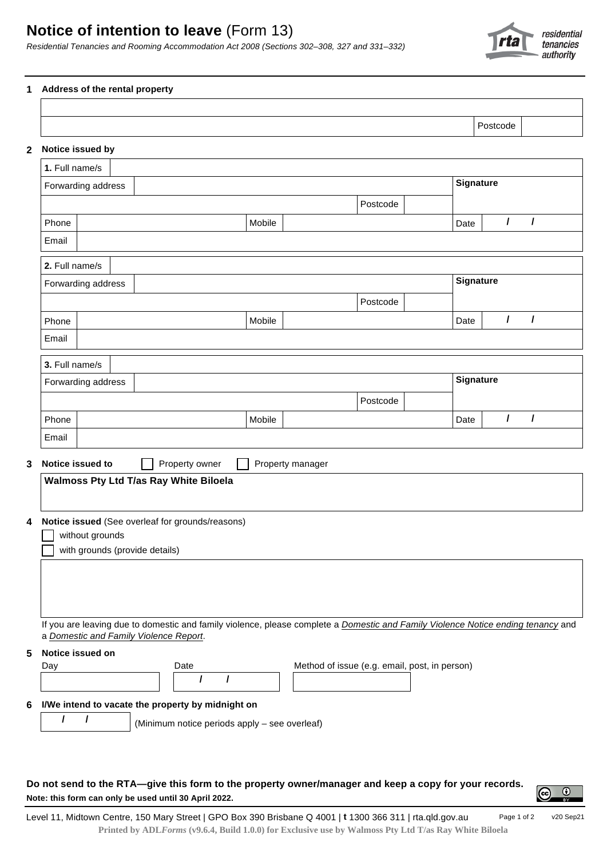

Postcode

## **1 Address of the rental property**

## **2 Notice issued by**

| 1. Full name/s     |                                        |                                                                                                                                  |                                               |      |                      |  |
|--------------------|----------------------------------------|----------------------------------------------------------------------------------------------------------------------------------|-----------------------------------------------|------|----------------------|--|
|                    | Forwarding address                     |                                                                                                                                  | <b>Signature</b>                              |      |                      |  |
|                    |                                        |                                                                                                                                  | Postcode                                      |      |                      |  |
| Phone              |                                        | Mobile                                                                                                                           |                                               | Date | $\prime$<br>I        |  |
| Email              |                                        |                                                                                                                                  |                                               |      |                      |  |
|                    |                                        |                                                                                                                                  |                                               |      |                      |  |
| 2. Full name/s     |                                        |                                                                                                                                  |                                               |      |                      |  |
| Forwarding address |                                        |                                                                                                                                  |                                               |      | <b>Signature</b>     |  |
|                    |                                        |                                                                                                                                  | Postcode                                      |      |                      |  |
| Phone              |                                        | Mobile                                                                                                                           |                                               | Date | $\prime$<br>I        |  |
| Email              |                                        |                                                                                                                                  |                                               |      |                      |  |
| 3. Full name/s     |                                        |                                                                                                                                  |                                               |      |                      |  |
|                    | Forwarding address                     |                                                                                                                                  |                                               |      | <b>Signature</b>     |  |
|                    |                                        |                                                                                                                                  | Postcode                                      |      |                      |  |
| Phone              |                                        | Mobile                                                                                                                           |                                               | Date | $\prime$<br>$\prime$ |  |
| Email              |                                        |                                                                                                                                  |                                               |      |                      |  |
|                    |                                        |                                                                                                                                  |                                               |      |                      |  |
|                    | Notice issued to                       | Property owner                                                                                                                   | Property manager                              |      |                      |  |
|                    | Walmoss Pty Ltd T/as Ray White Biloela |                                                                                                                                  |                                               |      |                      |  |
|                    |                                        |                                                                                                                                  |                                               |      |                      |  |
|                    |                                        | Notice issued (See overleaf for grounds/reasons)                                                                                 |                                               |      |                      |  |
|                    | without grounds                        |                                                                                                                                  |                                               |      |                      |  |
|                    | with grounds (provide details)         |                                                                                                                                  |                                               |      |                      |  |
|                    |                                        |                                                                                                                                  |                                               |      |                      |  |
|                    |                                        |                                                                                                                                  |                                               |      |                      |  |
|                    |                                        |                                                                                                                                  |                                               |      |                      |  |
|                    |                                        | If you are leaving due to domestic and family violence, please complete a Domestic and Family Violence Notice ending tenancy and |                                               |      |                      |  |
|                    | a Domestic and Family Violence Report. |                                                                                                                                  |                                               |      |                      |  |
|                    | Notice issued on                       |                                                                                                                                  |                                               |      |                      |  |
| Day                |                                        | Date<br>7<br>I                                                                                                                   | Method of issue (e.g. email, post, in person) |      |                      |  |
|                    |                                        |                                                                                                                                  |                                               |      |                      |  |
|                    |                                        | I/We intend to vacate the property by midnight on                                                                                |                                               |      |                      |  |
| $\prime$           | $\prime$                               | (Minimum notice periods apply - see overleaf)                                                                                    |                                               |      |                      |  |
|                    |                                        |                                                                                                                                  |                                               |      |                      |  |
|                    |                                        |                                                                                                                                  |                                               |      |                      |  |

Do not send to the RTA-give this form to the property owner/manager and keep a copy for your records. **Note: this form can only be used until 30 April 2022.**